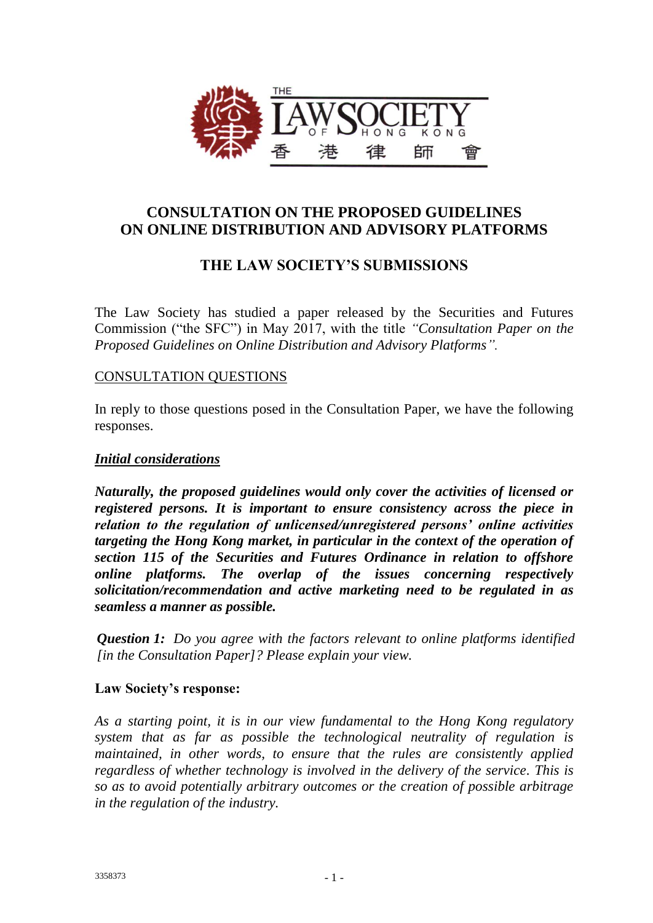

# **CONSULTATION ON THE PROPOSED GUIDELINES ON ONLINE DISTRIBUTION AND ADVISORY PLATFORMS**

# **THE LAW SOCIETY'S SUBMISSIONS**

The Law Society has studied a paper released by the Securities and Futures Commission ("the SFC") in May 2017, with the title *"Consultation Paper on the Proposed Guidelines on Online Distribution and Advisory Platforms".* 

## CONSULTATION QUESTIONS

In reply to those questions posed in the Consultation Paper, we have the following responses.

### *Initial considerations*

*Naturally, the proposed guidelines would only cover the activities of licensed or registered persons. It is important to ensure consistency across the piece in relation to the regulation of unlicensed/unregistered persons' online activities targeting the Hong Kong market, in particular in the context of the operation of section 115 of the Securities and Futures Ordinance in relation to offshore online platforms. The overlap of the issues concerning respectively solicitation/recommendation and active marketing need to be regulated in as seamless a manner as possible.*

*Question 1: Do you agree with the factors relevant to online platforms identified [in the Consultation Paper]? Please explain your view.*

### **Law Society's response:**

*As a starting point, it is in our view fundamental to the Hong Kong regulatory system that as far as possible the technological neutrality of regulation is maintained, in other words, to ensure that the rules are consistently applied regardless of whether technology is involved in the delivery of the service. This is so as to avoid potentially arbitrary outcomes or the creation of possible arbitrage in the regulation of the industry.*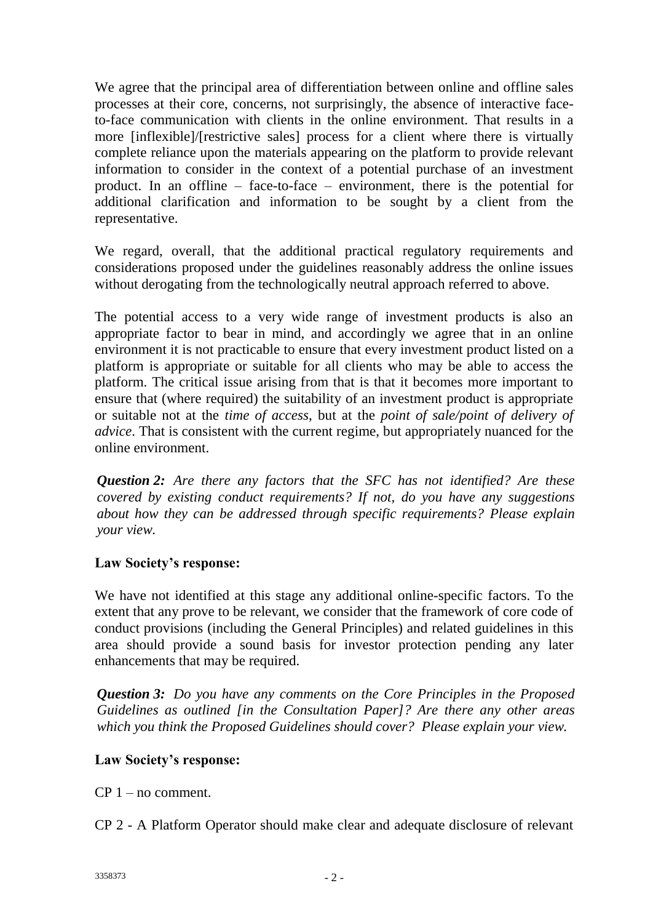We agree that the principal area of differentiation between online and offline sales processes at their core, concerns, not surprisingly, the absence of interactive faceto-face communication with clients in the online environment. That results in a more [inflexible]/[restrictive sales] process for a client where there is virtually complete reliance upon the materials appearing on the platform to provide relevant information to consider in the context of a potential purchase of an investment product. In an offline – face-to-face – environment, there is the potential for additional clarification and information to be sought by a client from the representative.

We regard, overall, that the additional practical regulatory requirements and considerations proposed under the guidelines reasonably address the online issues without derogating from the technologically neutral approach referred to above.

The potential access to a very wide range of investment products is also an appropriate factor to bear in mind, and accordingly we agree that in an online environment it is not practicable to ensure that every investment product listed on a platform is appropriate or suitable for all clients who may be able to access the platform. The critical issue arising from that is that it becomes more important to ensure that (where required) the suitability of an investment product is appropriate or suitable not at the *time of access*, but at the *point of sale/point of delivery of advice*. That is consistent with the current regime, but appropriately nuanced for the online environment.

*Question 2: Are there any factors that the SFC has not identified? Are these covered by existing conduct requirements? If not, do you have any suggestions about how they can be addressed through specific requirements? Please explain your view.*

## **Law Society's response:**

We have not identified at this stage any additional online-specific factors. To the extent that any prove to be relevant, we consider that the framework of core code of conduct provisions (including the General Principles) and related guidelines in this area should provide a sound basis for investor protection pending any later enhancements that may be required.

*Question 3: Do you have any comments on the Core Principles in the Proposed Guidelines as outlined [in the Consultation Paper]? Are there any other areas which you think the Proposed Guidelines should cover? Please explain your view.*

## **Law Society's response:**

CP 1 – no comment.

CP 2 - A Platform Operator should make clear and adequate disclosure of relevant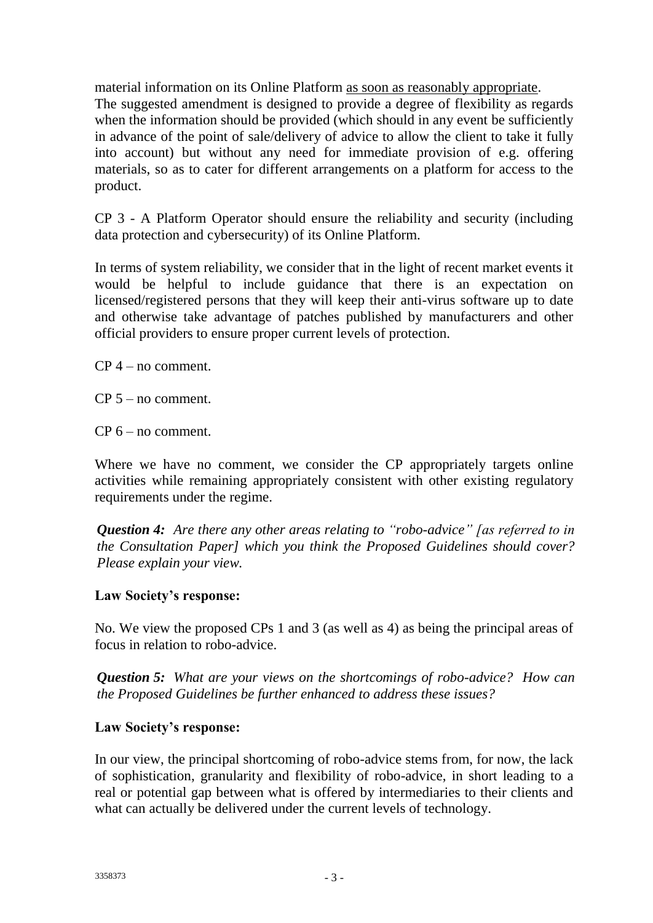material information on its Online Platform as soon as reasonably appropriate. The suggested amendment is designed to provide a degree of flexibility as regards when the information should be provided (which should in any event be sufficiently in advance of the point of sale/delivery of advice to allow the client to take it fully into account) but without any need for immediate provision of e.g. offering materials, so as to cater for different arrangements on a platform for access to the product.

CP 3 - A Platform Operator should ensure the reliability and security (including data protection and cybersecurity) of its Online Platform.

In terms of system reliability, we consider that in the light of recent market events it would be helpful to include guidance that there is an expectation on licensed/registered persons that they will keep their anti-virus software up to date and otherwise take advantage of patches published by manufacturers and other official providers to ensure proper current levels of protection.

CP 4 – no comment.

CP 5 – no comment.

CP 6 – no comment.

Where we have no comment, we consider the CP appropriately targets online activities while remaining appropriately consistent with other existing regulatory requirements under the regime.

*Question 4: Are there any other areas relating to "robo-advice" [as referred to in the Consultation Paper] which you think the Proposed Guidelines should cover? Please explain your view.*

### **Law Society's response:**

No. We view the proposed CPs 1 and 3 (as well as 4) as being the principal areas of focus in relation to robo-advice.

*Question 5: What are your views on the shortcomings of robo-advice? How can the Proposed Guidelines be further enhanced to address these issues?*

### **Law Society's response:**

In our view, the principal shortcoming of robo-advice stems from, for now, the lack of sophistication, granularity and flexibility of robo-advice, in short leading to a real or potential gap between what is offered by intermediaries to their clients and what can actually be delivered under the current levels of technology.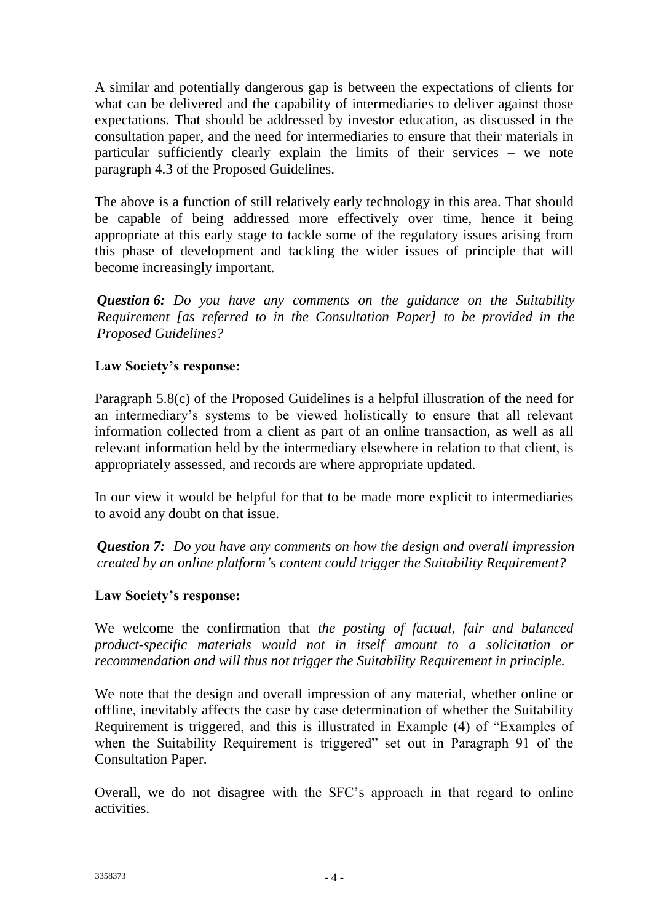A similar and potentially dangerous gap is between the expectations of clients for what can be delivered and the capability of intermediaries to deliver against those expectations. That should be addressed by investor education, as discussed in the consultation paper, and the need for intermediaries to ensure that their materials in particular sufficiently clearly explain the limits of their services – we note paragraph 4.3 of the Proposed Guidelines.

The above is a function of still relatively early technology in this area. That should be capable of being addressed more effectively over time, hence it being appropriate at this early stage to tackle some of the regulatory issues arising from this phase of development and tackling the wider issues of principle that will become increasingly important.

*Question 6: Do you have any comments on the guidance on the Suitability Requirement [as referred to in the Consultation Paper] to be provided in the Proposed Guidelines?*

# **Law Society's response:**

Paragraph 5.8(c) of the Proposed Guidelines is a helpful illustration of the need for an intermediary's systems to be viewed holistically to ensure that all relevant information collected from a client as part of an online transaction, as well as all relevant information held by the intermediary elsewhere in relation to that client, is appropriately assessed, and records are where appropriate updated.

In our view it would be helpful for that to be made more explicit to intermediaries to avoid any doubt on that issue.

*Question 7: Do you have any comments on how the design and overall impression created by an online platform's content could trigger the Suitability Requirement?*

## **Law Society's response:**

We welcome the confirmation that *the posting of factual, fair and balanced product-specific materials would not in itself amount to a solicitation or recommendation and will thus not trigger the Suitability Requirement in principle.*

We note that the design and overall impression of any material, whether online or offline, inevitably affects the case by case determination of whether the Suitability Requirement is triggered, and this is illustrated in Example (4) of "Examples of when the Suitability Requirement is triggered" set out in Paragraph 91 of the Consultation Paper.

Overall, we do not disagree with the SFC's approach in that regard to online activities.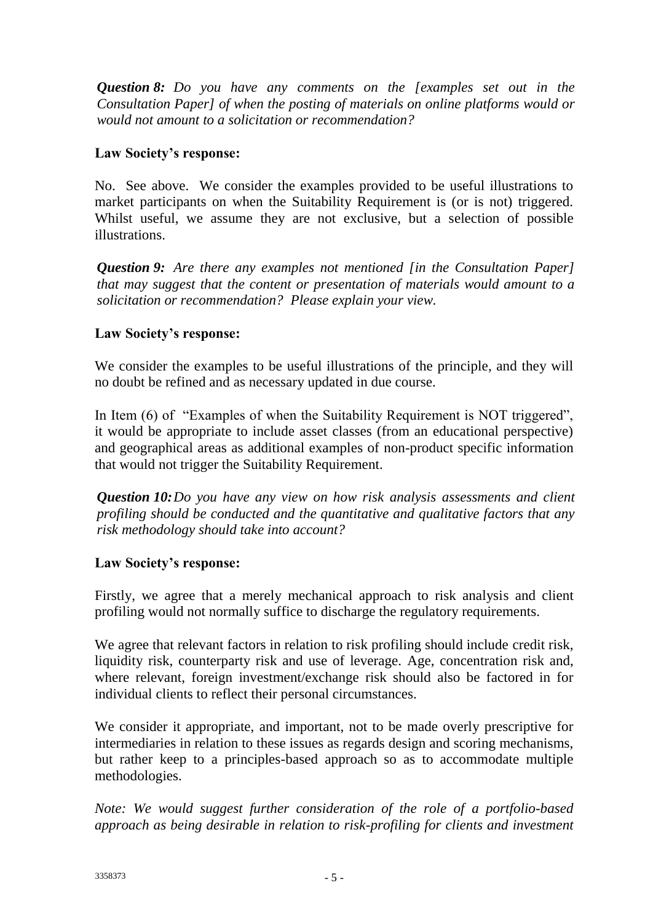*Question 8: Do you have any comments on the [examples set out in the Consultation Paper] of when the posting of materials on online platforms would or would not amount to a solicitation or recommendation?*

## **Law Society's response:**

No. See above. We consider the examples provided to be useful illustrations to market participants on when the Suitability Requirement is (or is not) triggered. Whilst useful, we assume they are not exclusive, but a selection of possible illustrations.

*Question 9: Are there any examples not mentioned [in the Consultation Paper] that may suggest that the content or presentation of materials would amount to a solicitation or recommendation? Please explain your view.*

# **Law Society's response:**

We consider the examples to be useful illustrations of the principle, and they will no doubt be refined and as necessary updated in due course.

In Item (6) of "Examples of when the Suitability Requirement is NOT triggered", it would be appropriate to include asset classes (from an educational perspective) and geographical areas as additional examples of non-product specific information that would not trigger the Suitability Requirement.

*Question 10:Do you have any view on how risk analysis assessments and client profiling should be conducted and the quantitative and qualitative factors that any risk methodology should take into account?*

## **Law Society's response:**

Firstly, we agree that a merely mechanical approach to risk analysis and client profiling would not normally suffice to discharge the regulatory requirements.

We agree that relevant factors in relation to risk profiling should include credit risk, liquidity risk, counterparty risk and use of leverage. Age, concentration risk and, where relevant, foreign investment/exchange risk should also be factored in for individual clients to reflect their personal circumstances.

We consider it appropriate, and important, not to be made overly prescriptive for intermediaries in relation to these issues as regards design and scoring mechanisms, but rather keep to a principles-based approach so as to accommodate multiple methodologies.

*Note: We would suggest further consideration of the role of a portfolio-based approach as being desirable in relation to risk-profiling for clients and investment*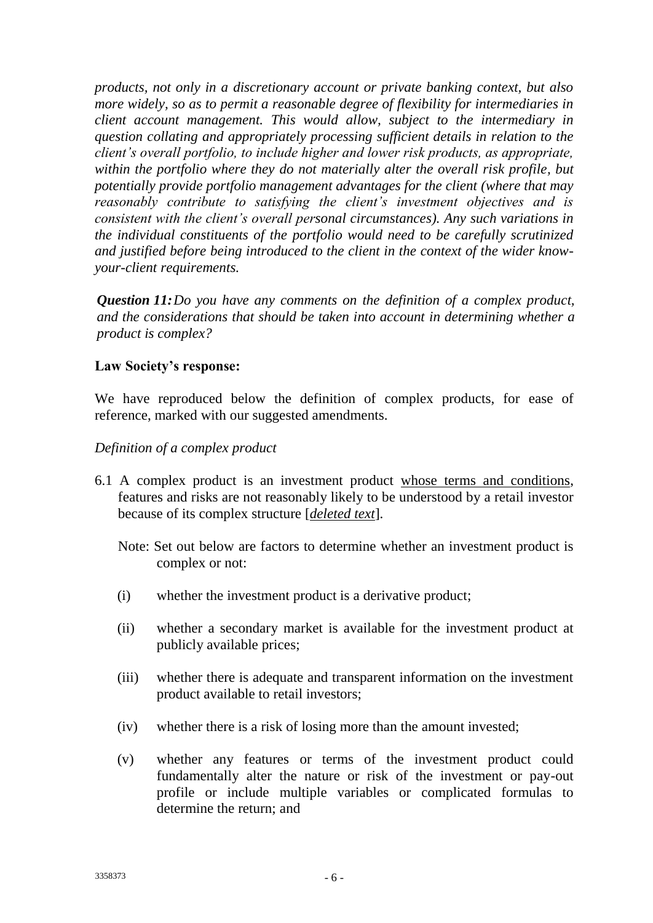*products, not only in a discretionary account or private banking context, but also more widely, so as to permit a reasonable degree of flexibility for intermediaries in client account management. This would allow, subject to the intermediary in question collating and appropriately processing sufficient details in relation to the client's overall portfolio, to include higher and lower risk products, as appropriate, within the portfolio where they do not materially alter the overall risk profile, but potentially provide portfolio management advantages for the client (where that may reasonably contribute to satisfying the client's investment objectives and is consistent with the client's overall personal circumstances). Any such variations in the individual constituents of the portfolio would need to be carefully scrutinized and justified before being introduced to the client in the context of the wider knowyour-client requirements.*

*Question 11:Do you have any comments on the definition of a complex product, and the considerations that should be taken into account in determining whether a product is complex?*

## **Law Society's response:**

We have reproduced below the definition of complex products, for ease of reference, marked with our suggested amendments.

## *Definition of a complex product*

- 6.1 A complex product is an investment product whose terms and conditions, features and risks are not reasonably likely to be understood by a retail investor because of its complex structure [*deleted text*].
	- Note: Set out below are factors to determine whether an investment product is complex or not:
	- (i) whether the investment product is a derivative product;
	- (ii) whether a secondary market is available for the investment product at publicly available prices;
	- (iii) whether there is adequate and transparent information on the investment product available to retail investors;
	- (iv) whether there is a risk of losing more than the amount invested;
	- (v) whether any features or terms of the investment product could fundamentally alter the nature or risk of the investment or pay-out profile or include multiple variables or complicated formulas to determine the return; and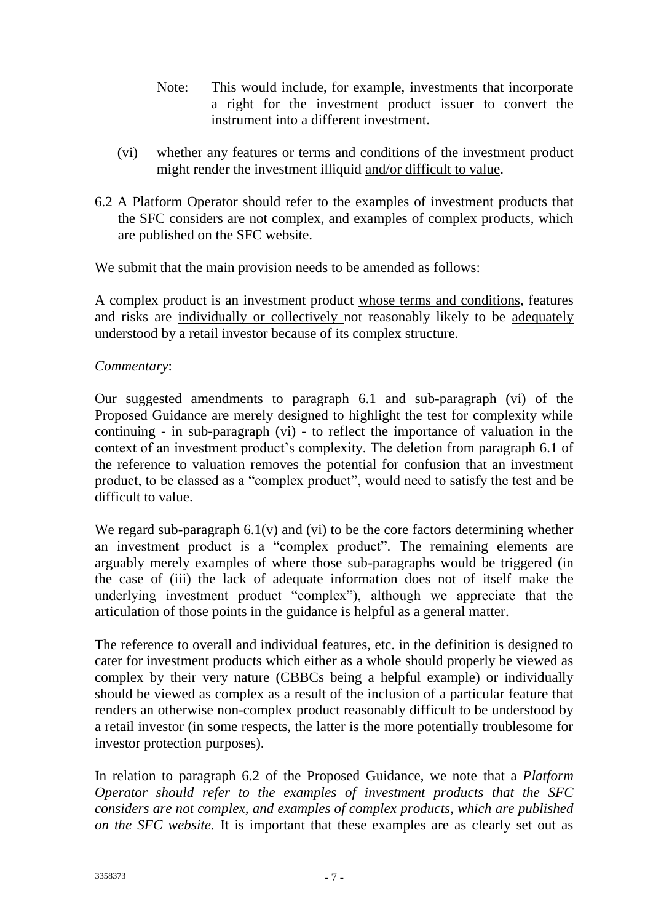- Note: This would include, for example, investments that incorporate a right for the investment product issuer to convert the instrument into a different investment.
- (vi) whether any features or terms and conditions of the investment product might render the investment illiquid and/or difficult to value.
- 6.2 A Platform Operator should refer to the examples of investment products that the SFC considers are not complex, and examples of complex products, which are published on the SFC website.

We submit that the main provision needs to be amended as follows:

A complex product is an investment product whose terms and conditions, features and risks are individually or collectively not reasonably likely to be adequately understood by a retail investor because of its complex structure.

### *Commentary*:

Our suggested amendments to paragraph 6.1 and sub-paragraph (vi) of the Proposed Guidance are merely designed to highlight the test for complexity while continuing - in sub-paragraph (vi) - to reflect the importance of valuation in the context of an investment product's complexity. The deletion from paragraph 6.1 of the reference to valuation removes the potential for confusion that an investment product, to be classed as a "complex product", would need to satisfy the test and be difficult to value.

We regard sub-paragraph  $6.1(v)$  and  $(vi)$  to be the core factors determining whether an investment product is a "complex product". The remaining elements are arguably merely examples of where those sub-paragraphs would be triggered (in the case of (iii) the lack of adequate information does not of itself make the underlying investment product "complex"), although we appreciate that the articulation of those points in the guidance is helpful as a general matter.

The reference to overall and individual features, etc. in the definition is designed to cater for investment products which either as a whole should properly be viewed as complex by their very nature (CBBCs being a helpful example) or individually should be viewed as complex as a result of the inclusion of a particular feature that renders an otherwise non-complex product reasonably difficult to be understood by a retail investor (in some respects, the latter is the more potentially troublesome for investor protection purposes).

In relation to paragraph 6.2 of the Proposed Guidance, we note that a *Platform Operator should refer to the examples of investment products that the SFC considers are not complex, and examples of complex products, which are published on the SFC website.* It is important that these examples are as clearly set out as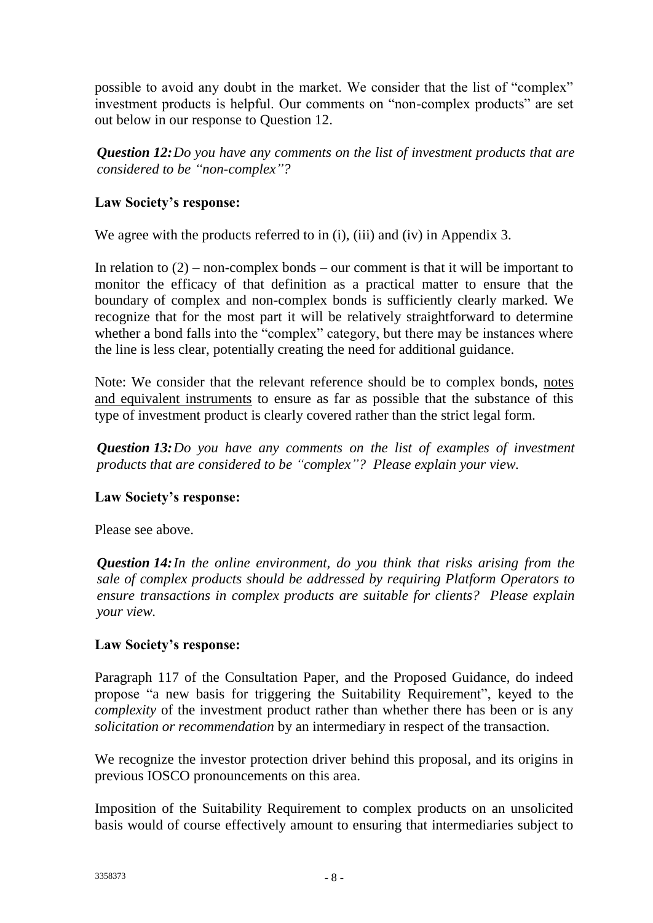possible to avoid any doubt in the market. We consider that the list of "complex" investment products is helpful. Our comments on "non-complex products" are set out below in our response to Question 12.

*Question 12:Do you have any comments on the list of investment products that are considered to be "non-complex"?*

# **Law Society's response:**

We agree with the products referred to in (i), (iii) and (iv) in Appendix 3.

In relation to  $(2)$  – non-complex bonds – our comment is that it will be important to monitor the efficacy of that definition as a practical matter to ensure that the boundary of complex and non-complex bonds is sufficiently clearly marked. We recognize that for the most part it will be relatively straightforward to determine whether a bond falls into the "complex" category, but there may be instances where the line is less clear, potentially creating the need for additional guidance.

Note: We consider that the relevant reference should be to complex bonds, notes and equivalent instruments to ensure as far as possible that the substance of this type of investment product is clearly covered rather than the strict legal form.

*Question 13:Do you have any comments on the list of examples of investment products that are considered to be "complex"? Please explain your view.*

## **Law Society's response:**

Please see above.

*Question 14:In the online environment, do you think that risks arising from the sale of complex products should be addressed by requiring Platform Operators to ensure transactions in complex products are suitable for clients? Please explain your view.*

## **Law Society's response:**

Paragraph 117 of the Consultation Paper, and the Proposed Guidance, do indeed propose "a new basis for triggering the Suitability Requirement", keyed to the *complexity* of the investment product rather than whether there has been or is any *solicitation or recommendation* by an intermediary in respect of the transaction.

We recognize the investor protection driver behind this proposal, and its origins in previous IOSCO pronouncements on this area.

Imposition of the Suitability Requirement to complex products on an unsolicited basis would of course effectively amount to ensuring that intermediaries subject to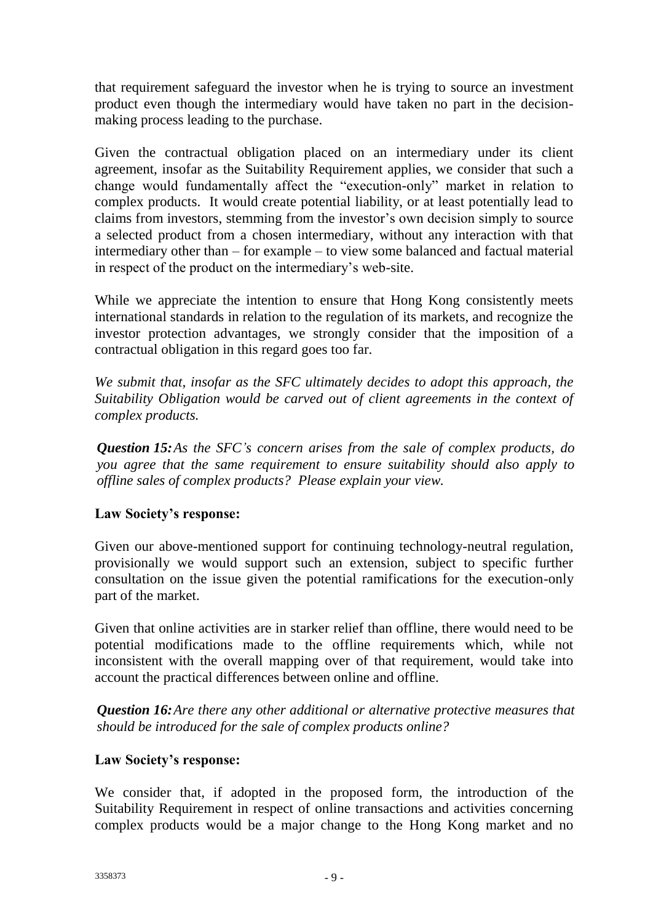that requirement safeguard the investor when he is trying to source an investment product even though the intermediary would have taken no part in the decisionmaking process leading to the purchase.

Given the contractual obligation placed on an intermediary under its client agreement, insofar as the Suitability Requirement applies, we consider that such a change would fundamentally affect the "execution-only" market in relation to complex products. It would create potential liability, or at least potentially lead to claims from investors, stemming from the investor's own decision simply to source a selected product from a chosen intermediary, without any interaction with that intermediary other than – for example – to view some balanced and factual material in respect of the product on the intermediary's web-site.

While we appreciate the intention to ensure that Hong Kong consistently meets international standards in relation to the regulation of its markets, and recognize the investor protection advantages, we strongly consider that the imposition of a contractual obligation in this regard goes too far.

*We submit that, insofar as the SFC ultimately decides to adopt this approach, the Suitability Obligation would be carved out of client agreements in the context of complex products.* 

*Question 15:As the SFC's concern arises from the sale of complex products, do you agree that the same requirement to ensure suitability should also apply to offline sales of complex products? Please explain your view.*

## **Law Society's response:**

Given our above-mentioned support for continuing technology-neutral regulation, provisionally we would support such an extension, subject to specific further consultation on the issue given the potential ramifications for the execution-only part of the market.

Given that online activities are in starker relief than offline, there would need to be potential modifications made to the offline requirements which, while not inconsistent with the overall mapping over of that requirement, would take into account the practical differences between online and offline.

*Question 16:Are there any other additional or alternative protective measures that should be introduced for the sale of complex products online?*

## **Law Society's response:**

We consider that, if adopted in the proposed form, the introduction of the Suitability Requirement in respect of online transactions and activities concerning complex products would be a major change to the Hong Kong market and no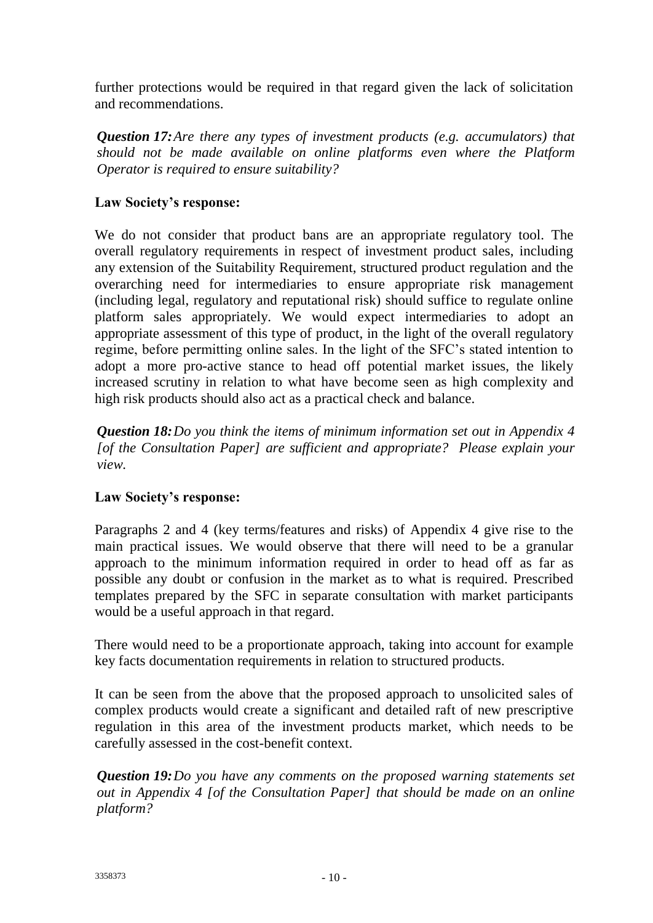further protections would be required in that regard given the lack of solicitation and recommendations.

*Question 17:Are there any types of investment products (e.g. accumulators) that should not be made available on online platforms even where the Platform Operator is required to ensure suitability?*

# **Law Society's response:**

We do not consider that product bans are an appropriate regulatory tool. The overall regulatory requirements in respect of investment product sales, including any extension of the Suitability Requirement, structured product regulation and the overarching need for intermediaries to ensure appropriate risk management (including legal, regulatory and reputational risk) should suffice to regulate online platform sales appropriately. We would expect intermediaries to adopt an appropriate assessment of this type of product, in the light of the overall regulatory regime, before permitting online sales. In the light of the SFC's stated intention to adopt a more pro-active stance to head off potential market issues, the likely increased scrutiny in relation to what have become seen as high complexity and high risk products should also act as a practical check and balance.

*Question 18:Do you think the items of minimum information set out in Appendix 4 [of the Consultation Paper] are sufficient and appropriate? Please explain your view.*

## **Law Society's response:**

Paragraphs 2 and 4 (key terms/features and risks) of Appendix 4 give rise to the main practical issues. We would observe that there will need to be a granular approach to the minimum information required in order to head off as far as possible any doubt or confusion in the market as to what is required. Prescribed templates prepared by the SFC in separate consultation with market participants would be a useful approach in that regard.

There would need to be a proportionate approach, taking into account for example key facts documentation requirements in relation to structured products.

It can be seen from the above that the proposed approach to unsolicited sales of complex products would create a significant and detailed raft of new prescriptive regulation in this area of the investment products market, which needs to be carefully assessed in the cost-benefit context.

*Question 19:Do you have any comments on the proposed warning statements set out in Appendix 4 [of the Consultation Paper] that should be made on an online platform?*